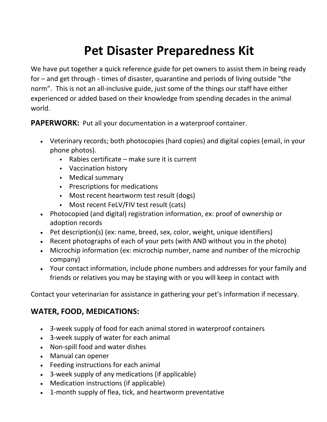# **Pet Disaster Preparedness Kit**

We have put together a quick reference guide for pet owners to assist them in being ready for – and get through - times of disaster, quarantine and periods of living outside "the norm". This is not an all-inclusive guide, just some of the things our staff have either experienced or added based on their knowledge from spending decades in the animal world.

**PAPERWORK:** Put all your documentation in a waterproof container.

- Veterinary records; both photocopies (hard copies) and digital copies (email, in your phone photos).
	- $\blacksquare$  Rabies certificate make sure it is current
	- Vaccination history
	- Medical summary
	- Prescriptions for medications
	- Most recent heartworm test result (dogs)
	- Most recent FeLV/FIV test result (cats)
- Photocopied (and digital) registration information, ex: proof of ownership or adoption records
- Pet description(s) (ex: name, breed, sex, color, weight, unique identifiers)
- Recent photographs of each of your pets (with AND without you in the photo)
- Microchip information (ex: microchip number, name and number of the microchip company)
- Your contact information, include phone numbers and addresses for your family and friends or relatives you may be staying with or you will keep in contact with

Contact your veterinarian for assistance in gathering your pet's information if necessary.

## **WATER, FOOD, MEDICATIONS:**

- 3-week supply of food for each animal stored in waterproof containers
- 3-week supply of water for each animal
- Non-spill food and water dishes
- Manual can opener
- Feeding instructions for each animal
- 3-week supply of any medications (if applicable)
- Medication instructions (if applicable)
- 1-month supply of flea, tick, and heartworm preventative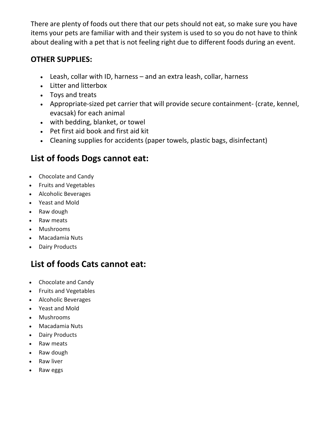There are plenty of foods out there that our pets should not eat, so make sure you have items your pets are familiar with and their system is used to so you do not have to think about dealing with a pet that is not feeling right due to different foods during an event.

#### **OTHER SUPPLIES:**

- Leash, collar with ID, harness and an extra leash, collar, harness
- Litter and litterbox
- Toys and treats
- Appropriate-sized pet carrier that will provide secure containment- (crate, kennel, evacsak) for each animal
- with bedding, blanket, or towel
- Pet first aid book and first aid kit
- Cleaning supplies for accidents (paper towels, plastic bags, disinfectant)

## **List of foods Dogs cannot eat:**

- Chocolate and Candy
- Fruits and Vegetables
- Alcoholic Beverages
- Yeast and Mold
- Raw dough
- Raw meats
- Mushrooms
- Macadamia Nuts
- Dairy Products

## **List of foods Cats cannot eat:**

- Chocolate and Candy
- Fruits and Vegetables
- Alcoholic Beverages
- Yeast and Mold
- Mushrooms
- Macadamia Nuts
- Dairy Products
- Raw meats
- Raw dough
- Raw liver
- Raw eggs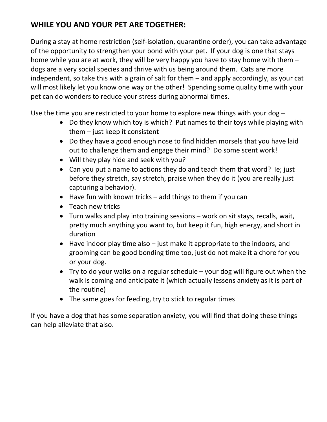### **WHILE YOU AND YOUR PET ARE TOGETHER:**

During a stay at home restriction (self-isolation, quarantine order), you can take advantage of the opportunity to strengthen your bond with your pet. If your dog is one that stays home while you are at work, they will be very happy you have to stay home with them – dogs are a very social species and thrive with us being around them. Cats are more independent, so take this with a grain of salt for them – and apply accordingly, as your cat will most likely let you know one way or the other! Spending some quality time with your pet can do wonders to reduce your stress during abnormal times.

Use the time you are restricted to your home to explore new things with your dog –

- Do they know which toy is which? Put names to their toys while playing with them – just keep it consistent
- Do they have a good enough nose to find hidden morsels that you have laid out to challenge them and engage their mind? Do some scent work!
- Will they play hide and seek with you?
- Can you put a name to actions they do and teach them that word? Ie; just before they stretch, say stretch, praise when they do it (you are really just capturing a behavior).
- $\bullet$  Have fun with known tricks add things to them if you can
- Teach new tricks
- Turn walks and play into training sessions work on sit stays, recalls, wait, pretty much anything you want to, but keep it fun, high energy, and short in duration
- Have indoor play time also just make it appropriate to the indoors, and grooming can be good bonding time too, just do not make it a chore for you or your dog.
- Try to do your walks on a regular schedule your dog will figure out when the walk is coming and anticipate it (which actually lessens anxiety as it is part of the routine)
- The same goes for feeding, try to stick to regular times

If you have a dog that has some separation anxiety, you will find that doing these things can help alleviate that also.